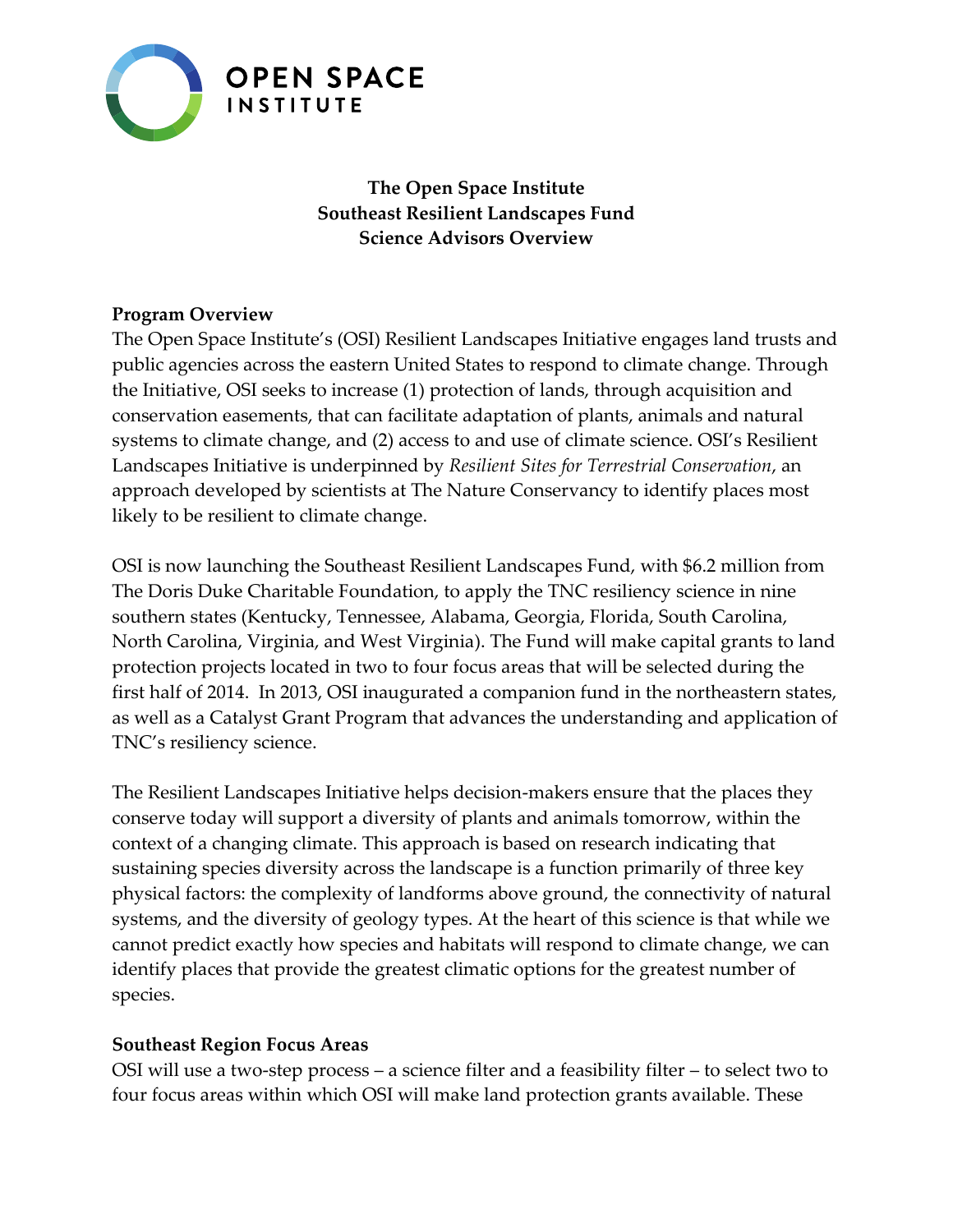

**The Open Space Institute Southeast Resilient Landscapes Fund Science Advisors Overview**

#### **Program Overview**

The Open Space Institute's (OSI) Resilient Landscapes Initiative engages land trusts and public agencies across the eastern United States to respond to climate change. Through the Initiative, OSI seeks to increase (1) protection of lands, through acquisition and conservation easements, that can facilitate adaptation of plants, animals and natural systems to climate change, and (2) access to and use of climate science. OSI's Resilient Landscapes Initiative is underpinned by *Resilient Sites for Terrestrial Conservation*, an approach developed by scientists at The Nature Conservancy to identify places most likely to be resilient to climate change.

OSI is now launching the Southeast Resilient Landscapes Fund, with \$6.2 million from The Doris Duke Charitable Foundation, to apply the TNC resiliency science in nine southern states (Kentucky, Tennessee, Alabama, Georgia, Florida, South Carolina, North Carolina, Virginia, and West Virginia). The Fund will make capital grants to land protection projects located in two to four focus areas that will be selected during the first half of 2014. In 2013, OSI inaugurated a companion fund in the northeastern states, as well as a Catalyst Grant Program that advances the understanding and application of TNC's resiliency science.

The Resilient Landscapes Initiative helps decision-makers ensure that the places they conserve today will support a diversity of plants and animals tomorrow, within the context of a changing climate. This approach is based on research indicating that sustaining species diversity across the landscape is a function primarily of three key physical factors: the complexity of landforms above ground, the connectivity of natural systems, and the diversity of geology types. At the heart of this science is that while we cannot predict exactly how species and habitats will respond to climate change, we can identify places that provide the greatest climatic options for the greatest number of species.

#### **Southeast Region Focus Areas**

OSI will use a two-step process – a science filter and a feasibility filter – to select two to four focus areas within which OSI will make land protection grants available. These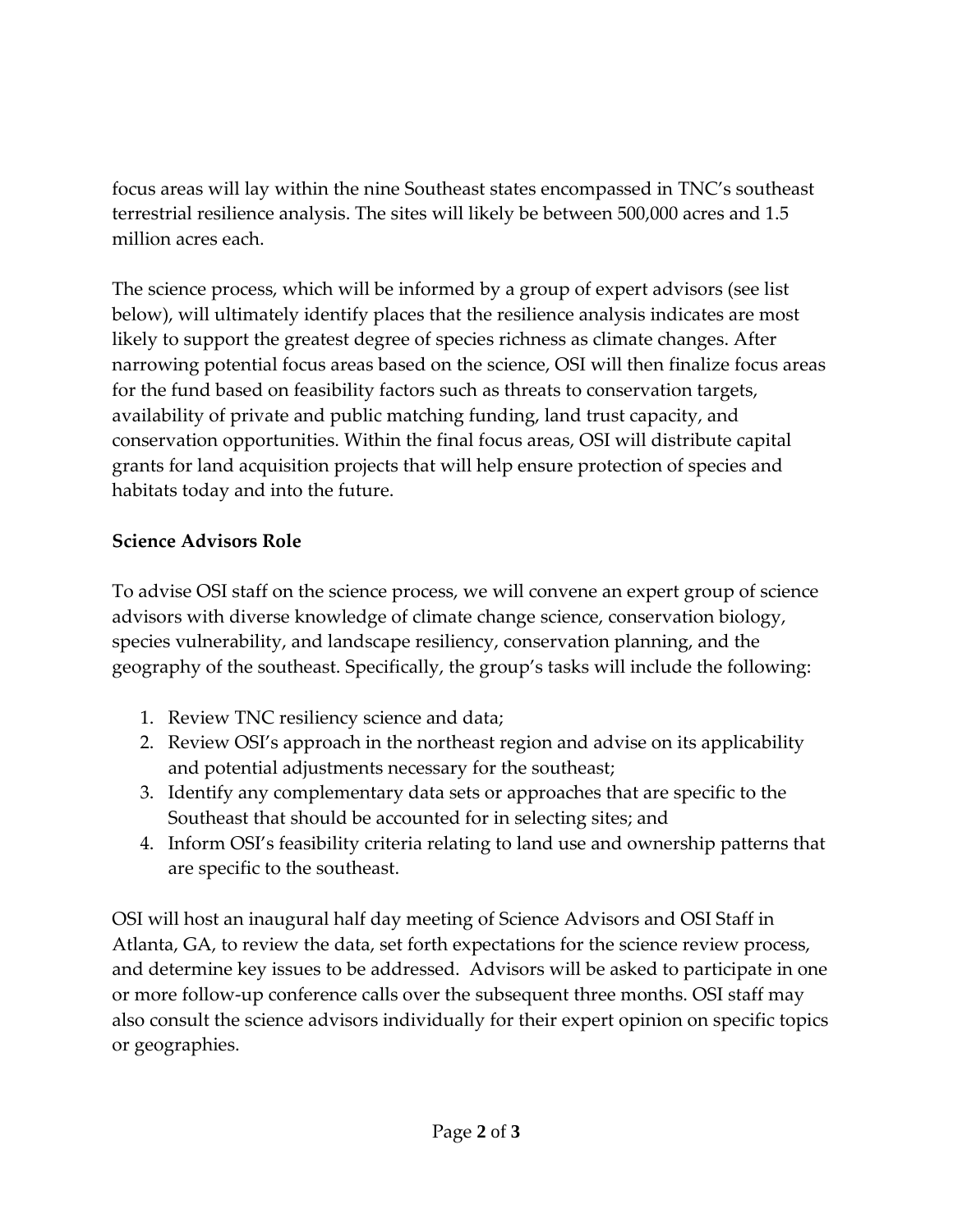focus areas will lay within the nine Southeast states encompassed in TNC's southeast terrestrial resilience analysis. The sites will likely be between 500,000 acres and 1.5 million acres each.

The science process, which will be informed by a group of expert advisors (see list below), will ultimately identify places that the resilience analysis indicates are most likely to support the greatest degree of species richness as climate changes. After narrowing potential focus areas based on the science, OSI will then finalize focus areas for the fund based on feasibility factors such as threats to conservation targets, availability of private and public matching funding, land trust capacity, and conservation opportunities. Within the final focus areas, OSI will distribute capital grants for land acquisition projects that will help ensure protection of species and habitats today and into the future.

## **Science Advisors Role**

To advise OSI staff on the science process, we will convene an expert group of science advisors with diverse knowledge of climate change science, conservation biology, species vulnerability, and landscape resiliency, conservation planning, and the geography of the southeast. Specifically, the group's tasks will include the following:

- 1. Review TNC resiliency science and data;
- 2. Review OSI's approach in the northeast region and advise on its applicability and potential adjustments necessary for the southeast;
- 3. Identify any complementary data sets or approaches that are specific to the Southeast that should be accounted for in selecting sites; and
- 4. Inform OSI's feasibility criteria relating to land use and ownership patterns that are specific to the southeast.

OSI will host an inaugural half day meeting of Science Advisors and OSI Staff in Atlanta, GA, to review the data, set forth expectations for the science review process, and determine key issues to be addressed. Advisors will be asked to participate in one or more follow-up conference calls over the subsequent three months. OSI staff may also consult the science advisors individually for their expert opinion on specific topics or geographies.